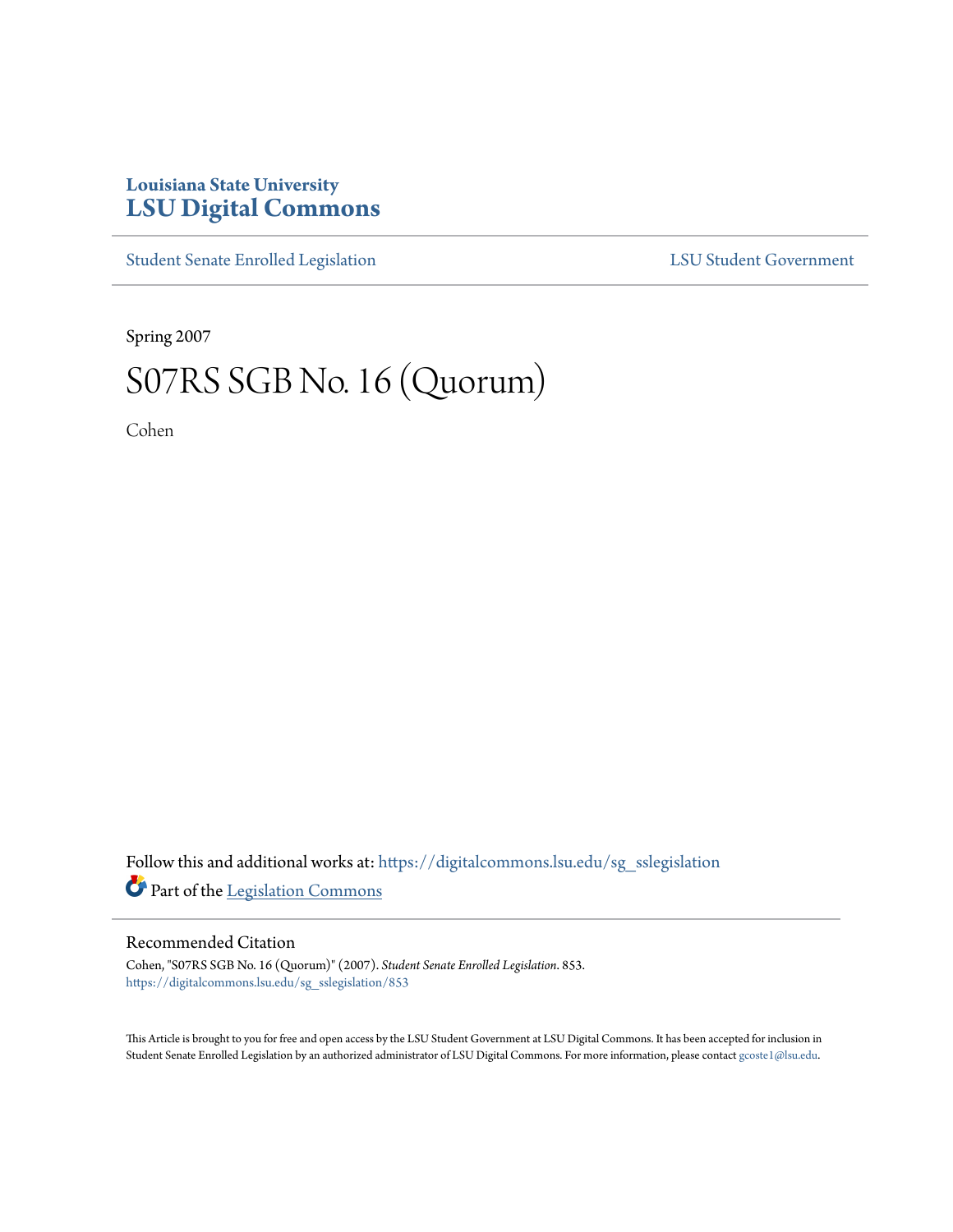## **Louisiana State University [LSU Digital Commons](https://digitalcommons.lsu.edu?utm_source=digitalcommons.lsu.edu%2Fsg_sslegislation%2F853&utm_medium=PDF&utm_campaign=PDFCoverPages)**

[Student Senate Enrolled Legislation](https://digitalcommons.lsu.edu/sg_sslegislation?utm_source=digitalcommons.lsu.edu%2Fsg_sslegislation%2F853&utm_medium=PDF&utm_campaign=PDFCoverPages) [LSU Student Government](https://digitalcommons.lsu.edu/sg?utm_source=digitalcommons.lsu.edu%2Fsg_sslegislation%2F853&utm_medium=PDF&utm_campaign=PDFCoverPages)

Spring 2007

## S07RS SGB No. 16 (Quorum)

Cohen

Follow this and additional works at: [https://digitalcommons.lsu.edu/sg\\_sslegislation](https://digitalcommons.lsu.edu/sg_sslegislation?utm_source=digitalcommons.lsu.edu%2Fsg_sslegislation%2F853&utm_medium=PDF&utm_campaign=PDFCoverPages) Part of the [Legislation Commons](http://network.bepress.com/hgg/discipline/859?utm_source=digitalcommons.lsu.edu%2Fsg_sslegislation%2F853&utm_medium=PDF&utm_campaign=PDFCoverPages)

## Recommended Citation

Cohen, "S07RS SGB No. 16 (Quorum)" (2007). *Student Senate Enrolled Legislation*. 853. [https://digitalcommons.lsu.edu/sg\\_sslegislation/853](https://digitalcommons.lsu.edu/sg_sslegislation/853?utm_source=digitalcommons.lsu.edu%2Fsg_sslegislation%2F853&utm_medium=PDF&utm_campaign=PDFCoverPages)

This Article is brought to you for free and open access by the LSU Student Government at LSU Digital Commons. It has been accepted for inclusion in Student Senate Enrolled Legislation by an authorized administrator of LSU Digital Commons. For more information, please contact [gcoste1@lsu.edu.](mailto:gcoste1@lsu.edu)